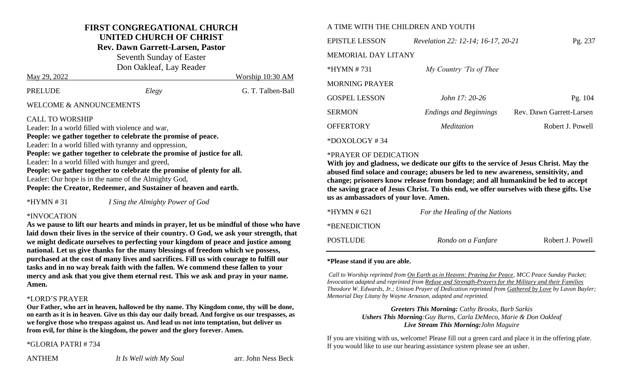#### **FIRST CONGREGATIONAL CHURCH UNITED CHURCH OF CHRIST**

**Rev. Dawn Garrett-Larsen, Pastor**

Seventh Sunday of Easter

Don Oakleaf, Lay Reader

| May 29, 2022            |       | Worship 10:30 AM  |
|-------------------------|-------|-------------------|
| PRELUDE                 | Elegy | G. T. Talben-Ball |
| WELCOME & ANNOUNCEMENTS |       |                   |

#### CALL TO WORSHIP

Leader: In a world filled with violence and war,

**People: we gather together to celebrate the promise of peace.**

Leader: In a world filled with tyranny and oppression,

People: we gather **together** to celebrate the promise of justice for all.

Leader: In a world filled with hunger and greed,

**People: we gather together to celebrate the promise of plenty for all.** Leader: Our hope is in the name of the Almighty God,

**People: the Creator, Redeemer, and Sustainer of heaven and earth.**

\*HYMN # 31 *I Sing the Almighty Power of God*

#### \*INVOCATION

**As we pause to lift our hearts and minds in prayer, let us be mindful of those who have laid down their lives in the service of their country. O God, we ask your strength, that we might dedicate ourselves to perfecting your kingdom of peace and justice among national. Let us give thanks for the many blessings of freedom which we possess, purchased at the cost of many lives and sacrifices. Fill us with courage to fulfill our tasks and in no way break faith with the fallen. We commend these fallen to your mercy and ask that you give them eternal rest. This we ask and pray in your name. Amen.**

#### \*LORD'S PRAYER

**Our Father, who art in heaven, hallowed be thy name. Thy Kingdom come, thy will be done, on earth as it is in heaven. Give us this day our daily bread. And forgive us our trespasses, as we forgive those who trespass against us. And lead us not into temptation, but deliver us from evil, for thine is the kingdom, the power and the glory forever. Amen.**

#### \*GLORIA PATRI # 734

ANTHEM *It Is Well with My Soul* arr. John Ness Beck

#### A TIME WITH THE CHILDREN AND YOUTH

| EPISTLE LESSON       | Revelation 22: 12-14; 16-17, 20-21 | Pg. 237                  |
|----------------------|------------------------------------|--------------------------|
| MEMORIAL DAY LITANY  |                                    |                          |
| *HYMN #731           | My Country 'Tis of Thee            |                          |
| MORNING PRAYER       |                                    |                          |
| <b>GOSPEL LESSON</b> | John $17:20-26$                    | Pg. 104                  |
| <b>SERMON</b>        | <b>Endings and Beginnings</b>      | Rev. Dawn Garrett-Larsen |
| <b>OFFERTORY</b>     | <i>Meditation</i>                  | Robert J. Powell         |
| *DOXOLOGY #34        |                                    |                          |

#### \*PRAYER OF DEDICATION

**With joy and gladness, we dedicate our gifts to the service of Jesus Christ. May the abused find solace and courage; abusers be led to new awareness, sensitivity, and change; prisoners know release from bondage; and all humankind be led to accept the saving grace of Jesus Christ. To this end, we offer ourselves with these gifts. Use us as ambassadors of your love. Amen.**

| $*HYMN \# 621$ | For the Healing of the Nations |                  |
|----------------|--------------------------------|------------------|
| *BENEDICTION   |                                |                  |
| POSTLUDE       | Rondo on a Fanfare             | Robert J. Powell |

#### **\*Please stand if you are able.**

*Call to Worship reprinted from On Earth as in Heaven: Praying for Peace, MCC Peace Sunday Packet; Invocation adapted and reprinted from Refuse and Strength-Prayers for the Military and their Families Theodore W. Edwards, Jr.; Unison Prayer of Dedication reprinted from Gathered by Love by Lavon Bayler; Memorial Day Litany by Wayne Arnason, adapted and reprinted.*

> *Greeters This Morning: Cathy Brooks, Barb Sarkis Ushers This Morning:Guy Burns, Carla DeMeco, Marie & Don Oakleaf Live Stream This Morning:John Maguire*

If you are visiting with us, welcome! Please fill out a green card and place it in the offering plate. If you would like to use our hearing assistance system please see an usher.